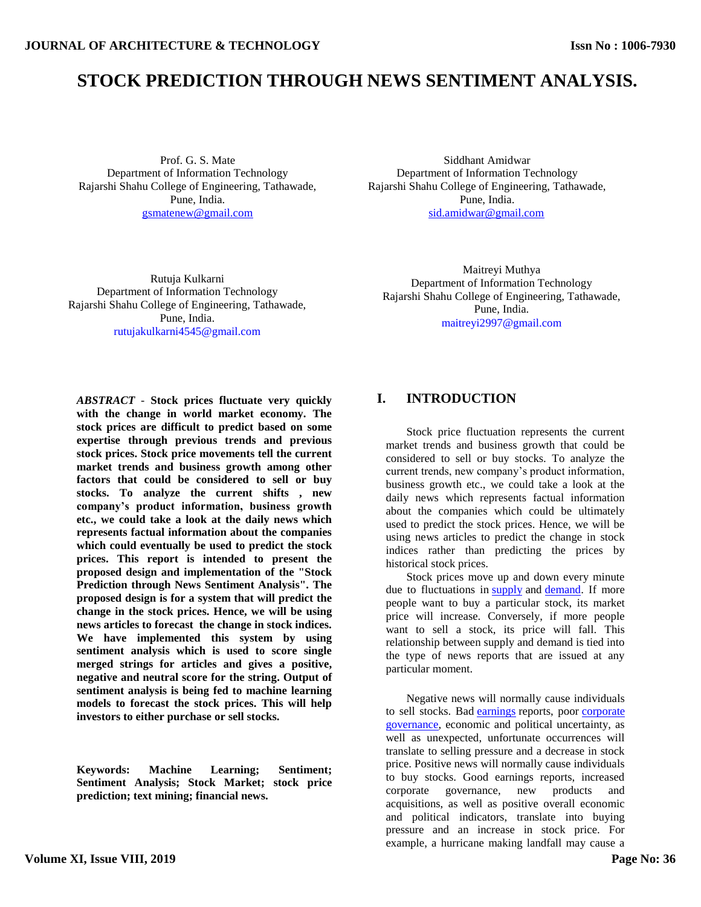# **STOCK PREDICTION THROUGH NEWS SENTIMENT ANALYSIS.**

Prof. G. S. Mate Department of Information Technology Rajarshi Shahu College of Engineering, Tathawade, Pune, India. [gsmatenew@gmail.com](mailto:gsmatenew@gmail.com)

Siddhant Amidwar Department of Information Technology Rajarshi Shahu College of Engineering, Tathawade, Pune, India. [sid.amidwar@gmail.com](mailto:sid.amidwar@gmail.com)

Rutuja Kulkarni Department of Information Technology Rajarshi Shahu College of Engineering, Tathawade, Pune, India. [rutujakulkarni4545@gmail.com](mailto:kalpesh.k.oswal@gmail.com)

Maitreyi Muthya Department of Information Technology Rajarshi Shahu College of Engineering, Tathawade, Pune, India. [maitreyi2997@gmail.com](mailto:aneeshantonyblade@gmail.com)

*ABSTRACT -* **Stock prices fluctuate very quickly with the change in world market economy. The stock prices are difficult to predict based on some expertise through previous trends and previous stock prices. Stock price movements tell the current market trends and business growth among other factors that could be considered to sell or buy stocks. To analyze the current shifts , new company's product information, business growth etc., we could take a look at the daily news which represents factual information about the companies which could eventually be used to predict the stock prices. This report is intended to present the proposed design and implementation of the "Stock Prediction through News Sentiment Analysis". The proposed design is for a system that will predict the change in the stock prices. Hence, we will be using news articles to forecast the change in stock indices. We have implemented this system by using sentiment analysis which is used to score single merged strings for articles and gives a positive, negative and neutral score for the string. Output of sentiment analysis is being fed to machine learning models to forecast the stock prices. This will help investors to either purchase or sell stocks.**

**Keywords: Machine Learning; Sentiment; Sentiment Analysis; Stock Market; stock price prediction; text mining; financial news.**

# **I. INTRODUCTION**

Stock price fluctuation represents the current market trends and business growth that could be considered to sell or buy stocks. To analyze the current trends, new company"s product information, business growth etc., we could take a look at the daily news which represents factual information about the companies which could be ultimately used to predict the stock prices. Hence, we will be using news articles to predict the change in stock indices rather than predicting the prices by historical stock prices.

Stock prices move up and down every minute due to fluctuations in [supply](https://www.investopedia.com/terms/s/supply.asp) and [demand.](https://www.investopedia.com/terms/d/demand.asp) If more people want to buy a particular stock, its market price will increase. Conversely, if more people want to sell a stock, its price will fall. This relationship between supply and demand is tied into the type of news reports that are issued at any particular moment.

Negative news will normally cause individuals to sell stocks. Bad *[earnings](https://www.investopedia.com/terms/e/earnings.asp)* reports, poor corporate [governance,](https://www.investopedia.com/terms/c/corporategovernance.asp) economic and political uncertainty, as well as unexpected, unfortunate occurrences will translate to selling pressure and a decrease in stock price. Positive news will normally cause individuals to buy stocks. Good earnings reports, increased corporate governance, new products and acquisitions, as well as positive overall economic and political indicators, translate into buying pressure and an increase in stock price. For example, a hurricane making landfall may cause a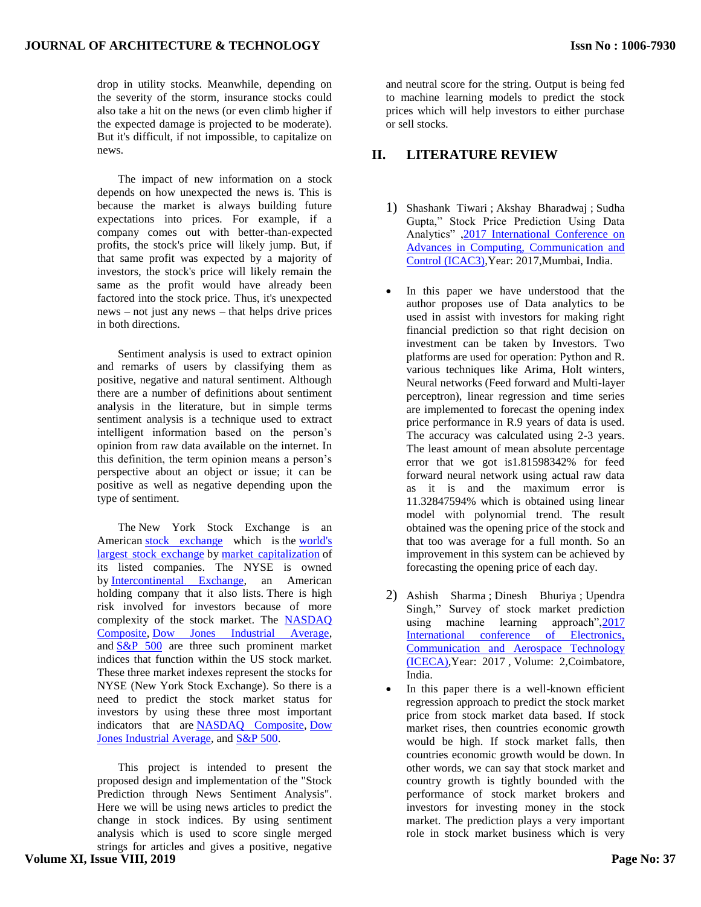drop in utility stocks. Meanwhile, depending on the severity of the storm, insurance stocks could also take a hit on the news (or even climb higher if the expected damage is projected to be moderate). But it's difficult, if not impossible, to capitalize on news.

 The impact of new information on a stock depends on how unexpected the news is. This is because the market is always building future expectations into prices. For example, if a company comes out with better-than-expected profits, the stock's price will likely jump. But, if that same profit was expected by a majority of investors, the stock's price will likely remain the same as the profit would have already been factored into the stock price. Thus, it's unexpected news – not just any news – that helps drive prices in both directions.

Sentiment analysis is used to extract opinion and remarks of users by classifying them as positive, negative and natural sentiment. Although there are a number of definitions about sentiment analysis in the literature, but in simple terms sentiment analysis is a technique used to extract intelligent information based on the person's opinion from raw data available on the internet. In this definition, the term opinion means a person"s perspective about an object or issue; it can be positive as well as negative depending upon the type of sentiment.

The New York Stock Exchange is an American [stock exchange](https://en.wikipedia.org/wiki/Stock_exchange) which is the [world's](https://en.wikipedia.org/wiki/List_of_stock_exchanges)  [largest stock exchange](https://en.wikipedia.org/wiki/List_of_stock_exchanges) by [market capitalization](https://en.wikipedia.org/wiki/Market_capitalization) of its listed companies. The NYSE is owned by [Intercontinental Exchange,](https://en.wikipedia.org/wiki/Intercontinental_Exchange) an American holding company that it also lists. There is high risk involved for investors because of more complexity of the stock market. The [NASDAQ](https://en.wikipedia.org/wiki/Nasdaq_Composite)  [Composite,](https://en.wikipedia.org/wiki/Nasdaq_Composite) [Dow Jones Industrial Average,](https://en.wikipedia.org/wiki/Dow_Jones_Industrial_Average) and [S&P 500](https://en.wikipedia.org/wiki/S%26P_500) are three such prominent market indices that function within the US stock market. These three market indexes represent the stocks for NYSE (New York Stock Exchange). So there is a need to predict the stock market status for investors by using these three most important indicators that are [NASDAQ Composite,](https://en.wikipedia.org/wiki/Nasdaq_Composite) [Dow](https://en.wikipedia.org/wiki/Dow_Jones_Industrial_Average)  [Jones Industrial Average,](https://en.wikipedia.org/wiki/Dow_Jones_Industrial_Average) and [S&P 500.](https://en.wikipedia.org/wiki/S%26P_500)

This project is intended to present the proposed design and implementation of the "Stock Prediction through News Sentiment Analysis". Here we will be using news articles to predict the change in stock indices. By using sentiment analysis which is used to score single merged strings for articles and gives a positive, negative

**Volume XI, Issue VIII, 2019**

and neutral score for the string. Output is being fed to machine learning models to predict the stock prices which will help investors to either purchase or sell stocks.

## **II. LITERATURE REVIEW**

- 1) Shashank Tiwari ; Akshay Bharadwaj ; Sudha Gupta," Stock Price Prediction Using Data Analytics" [,2017 International Conference on](https://ieeexplore.ieee.org/xpl/mostRecentIssue.jsp?punumber=8308484)  [Advances in Computing, Communication and](https://ieeexplore.ieee.org/xpl/mostRecentIssue.jsp?punumber=8308484)  [Control \(ICAC3\),](https://ieeexplore.ieee.org/xpl/mostRecentIssue.jsp?punumber=8308484)Year: 2017,Mumbai, India.
- In this paper we have understood that the author proposes use of Data analytics to be used in assist with investors for making right financial prediction so that right decision on investment can be taken by Investors. Two platforms are used for operation: Python and R. various techniques like Arima, Holt winters, Neural networks (Feed forward and Multi-layer perceptron), linear regression and time series are implemented to forecast the opening index price performance in R.9 years of data is used. The accuracy was calculated using 2-3 years. The least amount of mean absolute percentage error that we got is1.81598342% for feed forward neural network using actual raw data as it is and the maximum error is 11.32847594% which is obtained using linear model with polynomial trend. The result obtained was the opening price of the stock and that too was average for a full month. So an improvement in this system can be achieved by forecasting the opening price of each day.
- 2) Ashish Sharma ; Dinesh Bhuriya ; Upendra Singh," Survey of stock market prediction using machine learning approach", 2017 International conference of Electronics, [Communication and Aerospace Technology](https://ieeexplore.ieee.org/xpl/mostRecentIssue.jsp?punumber=8168799)  [\(ICECA\),](https://ieeexplore.ieee.org/xpl/mostRecentIssue.jsp?punumber=8168799)Year: 2017 , Volume: 2,Coimbatore, India.
- In this paper there is a well-known efficient regression approach to predict the stock market price from stock market data based. If stock market rises, then countries economic growth would be high. If stock market falls, then countries economic growth would be down. In other words, we can say that stock market and country growth is tightly bounded with the performance of stock market brokers and investors for investing money in the stock market. The prediction plays a very important role in stock market business which is very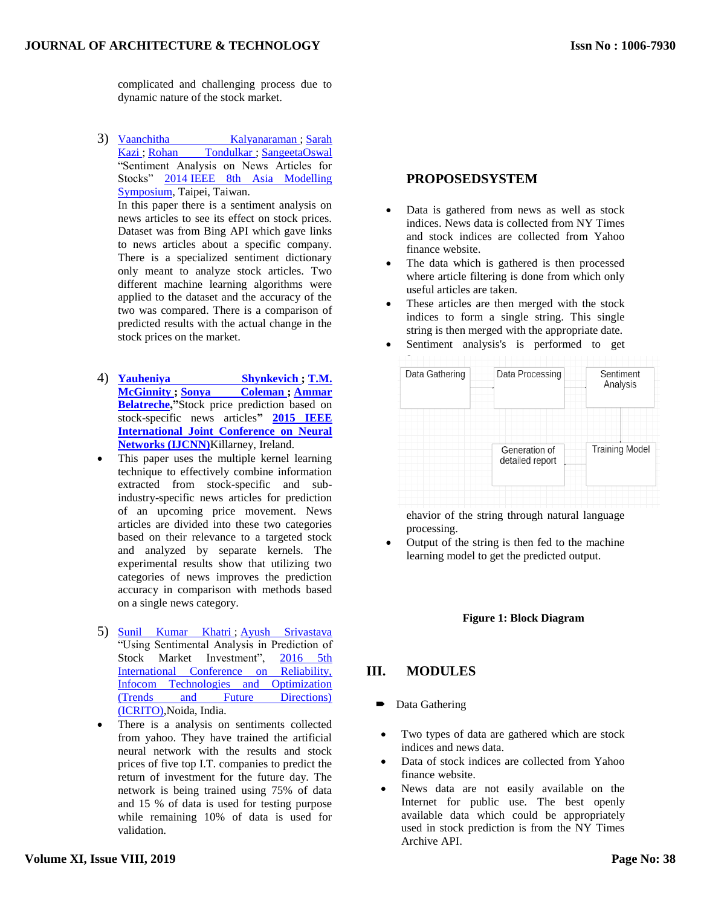complicated and challenging process due to dynamic nature of the stock market.

3) [Vaanchitha Kalyanaraman](https://ieeexplore.ieee.org/search/searchresult.jsp?searchWithin=%22First%20Name%22:%22Vaanchitha%22&searchWithin=%22Last%20Name%22:%22Kalyanaraman%22&newsearch=true&sortType=newest) ; [Sarah](https://ieeexplore.ieee.org/search/searchresult.jsp?searchWithin=%22First%20Name%22:%22Sarah%22&searchWithin=%22Last%20Name%22:%22Kazi%22&newsearch=true&sortType=newest)  [Kazi](https://ieeexplore.ieee.org/search/searchresult.jsp?searchWithin=%22First%20Name%22:%22Sarah%22&searchWithin=%22Last%20Name%22:%22Kazi%22&newsearch=true&sortType=newest); [Rohan Tondulkar](https://ieeexplore.ieee.org/search/searchresult.jsp?searchWithin=%22First%20Name%22:%22Rohan%22&searchWithin=%22Last%20Name%22:%22Tondulkar%22&newsearch=true&sortType=newest); [SangeetaOswal](https://ieeexplore.ieee.org/search/searchresult.jsp?searchWithin=%22First%20Name%22:%22Sangeeta%22&searchWithin=%22Last%20Name%22:%22Oswal%22&newsearch=true&sortType=newest) "Sentiment Analysis on News Articles for Stocks" 2014 [IEEE 8th Asia Modelling](https://ieeexplore.ieee.org/xpl/mostRecentIssue.jsp?punumber=7078817)  [Symposium,](https://ieeexplore.ieee.org/xpl/mostRecentIssue.jsp?punumber=7078817) Taipei, Taiwan. In this paper there is a sentiment analysis on news articles to see its effect on stock prices.

Dataset was from Bing API which gave links to news articles about a specific company. There is a specialized sentiment dictionary only meant to analyze stock articles. Two different machine learning algorithms were applied to the dataset and the accuracy of the two was compared. There is a comparison of predicted results with the actual change in the stock prices on the market.

- 4) **[Yauheniya Shynkevich](https://ieeexplore.ieee.org/search/searchresult.jsp?searchWithin=%22First%20Name%22:%22Yauheniya%22&searchWithin=%22Last%20Name%22:%22Shynkevich%22&newsearch=true&sortType=newest) ; [T.M.](https://ieeexplore.ieee.org/search/searchresult.jsp?searchWithin=%22First%20Name%22:%22T.M.%22&searchWithin=%22Last%20Name%22:%22McGinnity%22&newsearch=true&sortType=newest)  [McGinnity](https://ieeexplore.ieee.org/search/searchresult.jsp?searchWithin=%22First%20Name%22:%22T.M.%22&searchWithin=%22Last%20Name%22:%22McGinnity%22&newsearch=true&sortType=newest) ; [Sonya Coleman](https://ieeexplore.ieee.org/search/searchresult.jsp?searchWithin=%22First%20Name%22:%22Sonya%22&searchWithin=%22Last%20Name%22:%22Coleman%22&newsearch=true&sortType=newest) ; [Ammar](https://ieeexplore.ieee.org/search/searchresult.jsp?searchWithin=%22First%20Name%22:%22Ammar%22&searchWithin=%22Last%20Name%22:%22Belatreche%22&newsearch=true&sortType=newest)  [Belatreche,](https://ieeexplore.ieee.org/search/searchresult.jsp?searchWithin=%22First%20Name%22:%22Ammar%22&searchWithin=%22Last%20Name%22:%22Belatreche%22&newsearch=true&sortType=newest)"**Stock price prediction based on stock-specific news articles**" [2015 IEEE](https://ieeexplore.ieee.org/xpl/mostRecentIssue.jsp?punumber=7256526)  [International Joint Conference on Neural](https://ieeexplore.ieee.org/xpl/mostRecentIssue.jsp?punumber=7256526)  [Networks \(IJCNN\)](https://ieeexplore.ieee.org/xpl/mostRecentIssue.jsp?punumber=7256526)**Killarney, Ireland.
- This paper uses the multiple kernel learning technique to effectively combine information extracted from stock-specific and subindustry-specific news articles for prediction of an upcoming price movement. News articles are divided into these two categories based on their relevance to a targeted stock and analyzed by separate kernels. The experimental results show that utilizing two categories of news improves the prediction accuracy in comparison with methods based on a single news category.
- 5) [Sunil Kumar Khatri](https://ieeexplore.ieee.org/search/searchresult.jsp?searchWithin=%22First%20Name%22:%22Sunil%20Kumar%22&searchWithin=%22Last%20Name%22:%22Khatri%22&newsearch=true&sortType=newest) ; [Ayush Srivastava](https://ieeexplore.ieee.org/search/searchresult.jsp?searchWithin=%22First%20Name%22:%22Ayush%22&searchWithin=%22Last%20Name%22:%22Srivastava%22&newsearch=true&sortType=newest) "Using Sentimental Analysis in Prediction of Stock Market Investment", [2016 5th](https://ieeexplore.ieee.org/xpl/mostRecentIssue.jsp?punumber=7777622)  [International Conference on Reliability,](https://ieeexplore.ieee.org/xpl/mostRecentIssue.jsp?punumber=7777622)  [Infocom Technologies and Optimization](https://ieeexplore.ieee.org/xpl/mostRecentIssue.jsp?punumber=7777622)  [\(Trends and Future Directions\)](https://ieeexplore.ieee.org/xpl/mostRecentIssue.jsp?punumber=7777622)  [\(ICRITO\),](https://ieeexplore.ieee.org/xpl/mostRecentIssue.jsp?punumber=7777622)Noida, India.
- There is a analysis on sentiments collected from yahoo. They have trained the artificial neural network with the results and stock prices of five top I.T. companies to predict the return of investment for the future day. The network is being trained using 75% of data and 15 % of data is used for testing purpose while remaining 10% of data is used for validation.

## **PROPOSEDSYSTEM**

- Data is gathered from news as well as stock indices. News data is collected from NY Times and stock indices are collected from Yahoo finance website.
- The data which is gathered is then processed where article filtering is done from which only useful articles are taken.
- These articles are then merged with the stock indices to form a single string. This single string is then merged with the appropriate date. Sentiment analysis's is performed to get



e

ehavior of the string through natural language processing.

 Output of the string is then fed to the machine learning model to get the predicted output.

#### **Figure 1: Block Diagram**

#### **III. MODULES**

- Data Gathering
- Two types of data are gathered which are stock indices and news data.
- Data of stock indices are collected from Yahoo finance website.
- News data are not easily available on the Internet for public use. The best openly available data which could be appropriately used in stock prediction is from the NY Times Archive API.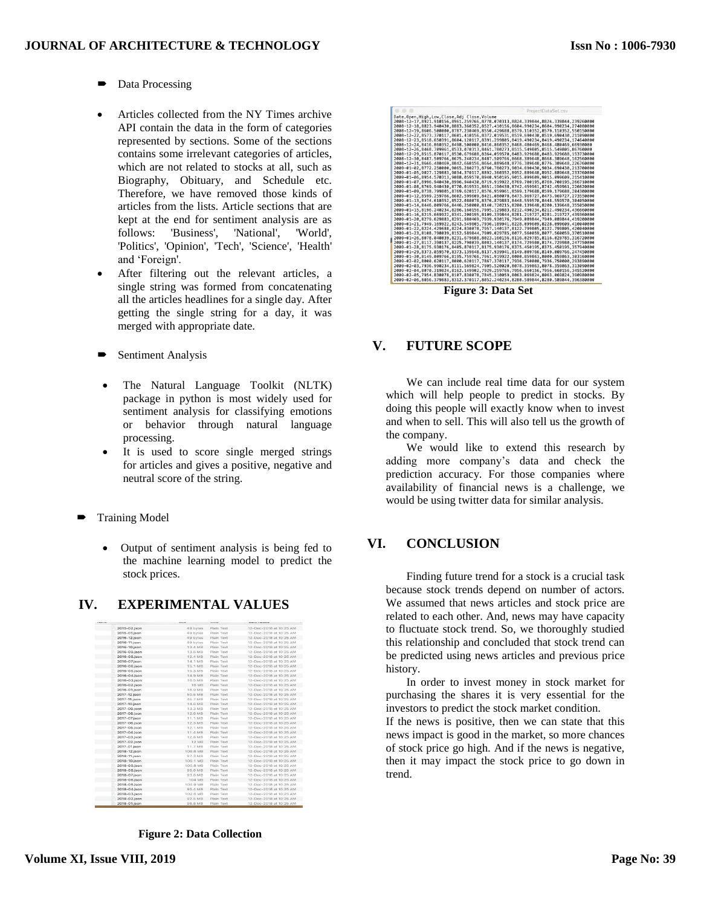- Data Processing
- Articles collected from the NY Times archive API contain the data in the form of categories represented by sections. Some of the sections contains some irrelevant categories of articles, which are not related to stocks at all, such as Biography, Obituary, and Schedule etc. Therefore, we have removed those kinds of articles from the lists. Article sections that are kept at the end for sentiment analysis are as follows: 'Business', 'National', 'World', 'Politics', 'Opinion', 'Tech', 'Science', 'Health' and "Foreign'.
- After filtering out the relevant articles, a single string was formed from concatenating all the articles headlines for a single day. After getting the single string for a day, it was merged with appropriate date.
- Sentiment Analysis
- The Natural Language Toolkit (NLTK) package in python is most widely used for sentiment analysis for classifying emotions or behavior through natural language processing.
- It is used to score single merged strings for articles and gives a positive, negative and neutral score of the string.
- Training Model
	- Output of sentiment analysis is being fed to the machine learning model to predict the stock prices.

#### **IV. EXPERIMENTAL VALUES**

|              | <b>SPIRITS</b> | <b>A RIVE RIVE</b> | <b>BUT OR RING IN STREET OF REAL</b> |
|--------------|----------------|--------------------|--------------------------------------|
| 2015-02.json | 49 bytes       | Plain Text         | 12-Dec-2018 at 10:25 AM              |
| 2015-01.json | 49 bytes       | Plain Text         | 12-Dec-2018 at 10:25 AM              |
| 2016-12.json | 49 bytes       | Plain Text         | 12-Dec-2018 at 10:25 AM              |
| 2016-11.json | 49 bytes       | Plain Text         | 12-Dec-2018 at 10:25 AM              |
| 2016-10.json | 13.4 MB        | Plain Text         | 12-Dec-2018 at 10:25 AM              |
| 2016-09.json | 13.6 MB        | Plain Text         | 12-Dec-2018 at 10:25 AM              |
| 2016-08.json | 12.4 MB        | Plain Text         | 12-Dec-2018 at 10:25 AM              |
| 2016-07.json | 14.1 MB        | Plain Text         | 12-Dec-2018 at 10:25 AM              |
| 2016-06.json | 15.1 MB        | Plain Text         | 12-Dec-2018 at 10:25 AM              |
| 2016-05.json | 15.3 MB        | Plain Text         | 12-Dec-2018 at 10:25 AM              |
| 2016-04.json | 14.9 MB        | Plain Text         | 12-Dec-2018 at 10:25 AM              |
| 2016-03.json | 16.5 MB        | Plain Text         | 12-Dec-2018 at 10:25 AM              |
| 2016-02.json | <b>16 MB</b>   | Plain Text         | 12-Dec-2018 at 10:25 AM              |
| 2016-01.json | 16.9 MB        | Plain Text         | 12-Dec-2018 at 10:25 AM              |
| 2017-12.json | 50.5 MB        | Plain Text         | 12-Dec-2018 at 10:25 AM              |
| 2017-11.json | 45.7 MB        | Plain Text         | 12-Dec-2018 at 10:25 AM              |
| 2017-10.json | 14.6 MB        | Plain Text         | 12-Dec-2018 at 10:25 AM              |
| 2017-09.json | 13.3 MB        | Plain Text         | 12-Dec-2018 at 10:25 AM              |
| 2017-08.json | 12.6 MB        | Plain Text         | 12-Dec-2018 at 10:25 AM              |
| 2017-07.json | 11.1 MB        | Plain Text         | 12-Dec-2018 at 10:25 AM              |
| 2017-06.json | 12.3 MB        | Plain Text         | 12-Dec-2018 at 10:25 AM              |
| 2017-05.json | 12.1 MR        | Plain Text         | 12-Dec-2018 at 10:25 AM              |
| 2017-04.json | 11.4 MB        | Plain Text         | 12-Dec-2018 at 10:25 AM              |
| 2017-03.json | 12.8 MB        | Plain Text         | 12-Dec-2018 at 10:25 AM              |
| 2017-02.json | <b>12 MB</b>   | Plain Text         | 12-Dec-2018 at 10:25 AM              |
| 2017-01.json | 11.7 MB        | Plain Text         | 12-Dec-2018 at 10:25 AM              |
| 2018-12.json | 106.6 MB       | Plain Toxt         | 12-Dec-2018 at 10:25 AM              |
| 2018-11.json | 97.3 MB        | Plain Text         | 12-Dec-2018 at 10:25 AM              |
| 2018-10.json | 106.1 MB       | Plain Text         | 12-Dec-2018 at 10:25 AM              |
| 2018-09.json | 100.8 MB       | Plain Text         | 12-Dec-2018 at 10:25 AM              |
| 2018-08. son | 95.6 MB        | Plain Text         | 12-Dec-2018 at 10:25 AM              |
| 2018-07.json | 93.8 MB        | Plain Text         | 12-Dec-2018 at 10:25 AM              |
| 2018-06.json | 104 MB         | Plain Text         | 12-Dec-2018 at 10:25 AM              |
| 2018-05.json | 104.9 MB       | Plain Text         | 12-Dec-2018 at 10:25 AM              |
| 2018-04.json | 95.4 MB        | Plain Text         | 12-Dec-2018 at 10:25 AM              |
| 2018-03.json | 102.6 MB       | Plain Text         | 12-Dec-2018 at 10:25 AM              |
| 2018-02.ison | 92.5 MB        | Plain Text         | 12-Dec-2018 at 10:25 AM              |
| 2018-01.ison | 96.8 MB        | Plain Text         | 12-Dec-2018 at 10:25 AM              |
|              |                |                    |                                      |

**Figure 2: Data Collection**



 **Figure 3: Data Set** 

# **V. FUTURE SCOPE**

We can include real time data for our system which will help people to predict in stocks. By doing this people will exactly know when to invest and when to sell. This will also tell us the growth of the company.

We would like to extend this research by adding more company"s data and check the prediction accuracy. For those companies where availability of financial news is a challenge, we would be using twitter data for similar analysis.

# **VI. CONCLUSION**

Finding future trend for a stock is a crucial task because stock trends depend on number of actors. We assumed that news articles and stock price are related to each other. And, news may have capacity to fluctuate stock trend. So, we thoroughly studied this relationship and concluded that stock trend can be predicted using news articles and previous price history.

In order to invest money in stock market for purchasing the shares it is very essential for the investors to predict the stock market condition.

If the news is positive, then we can state that this news impact is good in the market, so more chances of stock price go high. And if the news is negative, then it may impact the stock price to go down in trend.